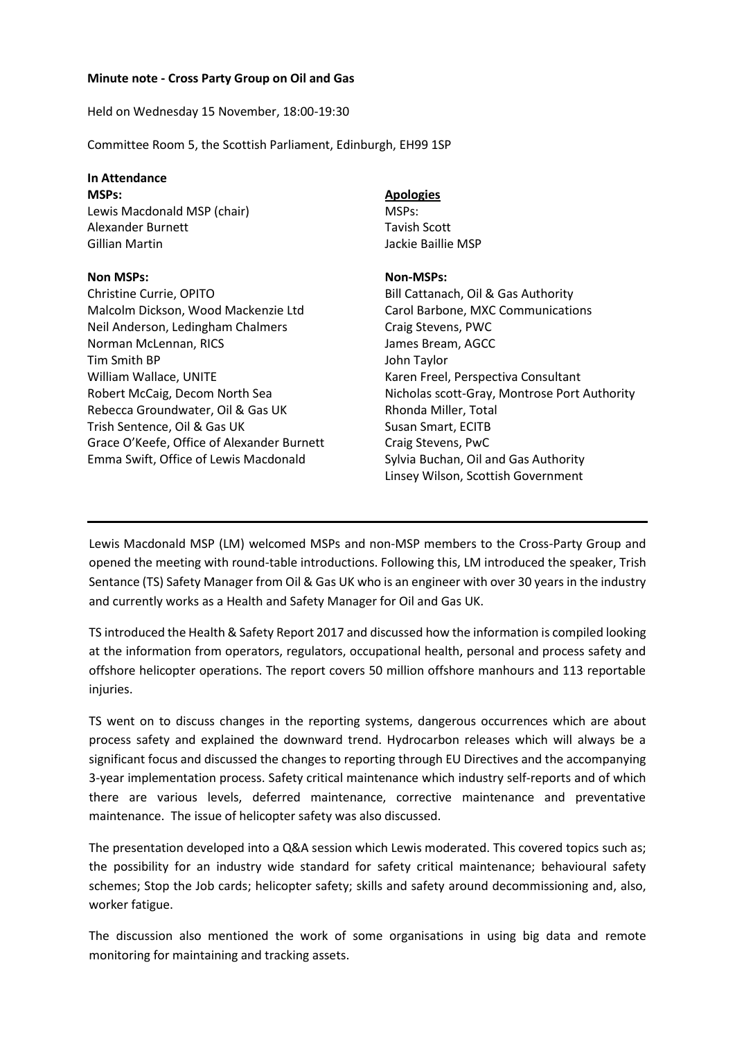## **Minute note - Cross Party Group on Oil and Gas**

Held on Wednesday 15 November, 18:00-19:30

Committee Room 5, the Scottish Parliament, Edinburgh, EH99 1SP

# **In Attendance**

**MSPs:**

Lewis Macdonald MSP (chair) Alexander Burnett Gillian Martin

#### **Non MSPs:**

Christine Currie, OPITO Malcolm Dickson, Wood Mackenzie Ltd Neil Anderson, Ledingham Chalmers Norman McLennan, RICS Tim Smith BP William Wallace, UNITE Robert McCaig, Decom North Sea Rebecca Groundwater, Oil & Gas UK Trish Sentence, Oil & Gas UK Grace O'Keefe, Office of Alexander Burnett Emma Swift, Office of Lewis Macdonald

### **Apologies**

MSPs: Tavish Scott Jackie Baillie MSP

#### **Non-MSPs:**

Bill Cattanach, Oil & Gas Authority Carol Barbone, MXC Communications Craig Stevens, PWC James Bream, AGCC John Taylor Karen Freel, Perspectiva Consultant Nicholas scott-Gray, Montrose Port Authority Rhonda Miller, Total Susan Smart, ECITB Craig Stevens, PwC Sylvia Buchan, Oil and Gas Authority Linsey Wilson, Scottish Government

Lewis Macdonald MSP (LM) welcomed MSPs and non-MSP members to the Cross-Party Group and opened the meeting with round-table introductions. Following this, LM introduced the speaker, Trish Sentance (TS) Safety Manager from Oil & Gas UK who is an engineer with over 30 years in the industry and currently works as a Health and Safety Manager for Oil and Gas UK.

TS introduced the Health & Safety Report 2017 and discussed how the information is compiled looking at the information from operators, regulators, occupational health, personal and process safety and offshore helicopter operations. The report covers 50 million offshore manhours and 113 reportable injuries.

TS went on to discuss changes in the reporting systems, dangerous occurrences which are about process safety and explained the downward trend. Hydrocarbon releases which will always be a significant focus and discussed the changes to reporting through EU Directives and the accompanying 3-year implementation process. Safety critical maintenance which industry self-reports and of which there are various levels, deferred maintenance, corrective maintenance and preventative maintenance. The issue of helicopter safety was also discussed.

The presentation developed into a Q&A session which Lewis moderated. This covered topics such as; the possibility for an industry wide standard for safety critical maintenance; behavioural safety schemes; Stop the Job cards; helicopter safety; skills and safety around decommissioning and, also, worker fatigue.

The discussion also mentioned the work of some organisations in using big data and remote monitoring for maintaining and tracking assets.